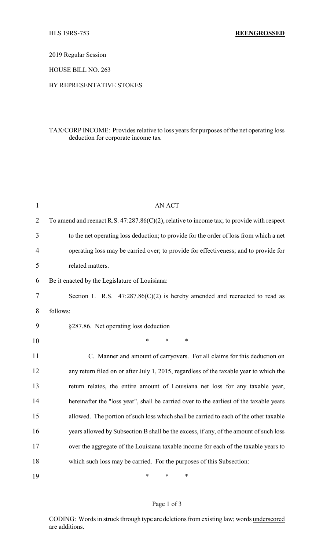2019 Regular Session

HOUSE BILL NO. 263

### BY REPRESENTATIVE STOKES

## TAX/CORP INCOME: Provides relative to loss years for purposes of the net operating loss deduction for corporate income tax

| $\mathbf{1}$   | <b>AN ACT</b>                                                                                 |
|----------------|-----------------------------------------------------------------------------------------------|
| $\overline{2}$ | To amend and reenact R.S. $47:287.86(C)(2)$ , relative to income tax; to provide with respect |
| 3              | to the net operating loss deduction; to provide for the order of loss from which a net        |
| 4              | operating loss may be carried over; to provide for effectiveness; and to provide for          |
| 5              | related matters.                                                                              |
| 6              | Be it enacted by the Legislature of Louisiana:                                                |
| 7              | Section 1. R.S. $47:287.86(C)(2)$ is hereby amended and reenacted to read as                  |
| 8              | follows:                                                                                      |
| 9              | §287.86. Net operating loss deduction                                                         |
| 10             | *<br>$\ast$<br>$\ast$                                                                         |
| 11             | C. Manner and amount of carryovers. For all claims for this deduction on                      |
| 12             | any return filed on or after July 1, 2015, regardless of the taxable year to which the        |
| 13             | return relates, the entire amount of Louisiana net loss for any taxable year,                 |
| 14             | hereinafter the "loss year", shall be carried over to the earliest of the taxable years       |
| 15             | allowed. The portion of such loss which shall be carried to each of the other taxable         |
| 16             | years allowed by Subsection B shall be the excess, if any, of the amount of such loss         |
| 17             | over the aggregate of the Louisiana taxable income for each of the taxable years to           |
| 18             | which such loss may be carried. For the purposes of this Subsection:                          |
| 19             | $\ast$<br>*<br>∗                                                                              |

## Page 1 of 3

CODING: Words in struck through type are deletions from existing law; words underscored are additions.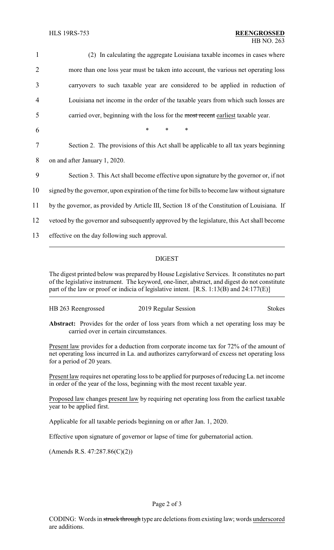| $\mathbf{1}$   | (2) In calculating the aggregate Louisiana taxable incomes in cases where                     |
|----------------|-----------------------------------------------------------------------------------------------|
| $\overline{2}$ | more than one loss year must be taken into account, the various net operating loss            |
| 3              | carryovers to such taxable year are considered to be applied in reduction of                  |
| $\overline{4}$ | Louisiana net income in the order of the taxable years from which such losses are             |
| 5              | carried over, beginning with the loss for the most recent earliest taxable year.              |
| 6              | $\ast$<br>$\ast$<br>$\ast$                                                                    |
| 7              | Section 2. The provisions of this Act shall be applicable to all tax years beginning          |
| 8              | on and after January 1, 2020.                                                                 |
| 9              | Section 3. This Act shall become effective upon signature by the governor or, if not          |
| 10             | signed by the governor, upon expiration of the time for bills to become law without signature |
| 11             | by the governor, as provided by Article III, Section 18 of the Constitution of Louisiana. If  |
| 12             | vetoed by the governor and subsequently approved by the legislature, this Act shall become    |
| 13             | effective on the day following such approval.                                                 |
|                |                                                                                               |

# DIGEST

The digest printed below was prepared by House Legislative Services. It constitutes no part of the legislative instrument. The keyword, one-liner, abstract, and digest do not constitute part of the law or proof or indicia of legislative intent. [R.S. 1:13(B) and 24:177(E)]

| HB 263 Reengrossed | 2019 Regular Session | <b>Stokes</b> |
|--------------------|----------------------|---------------|
|                    |                      |               |

**Abstract:** Provides for the order of loss years from which a net operating loss may be carried over in certain circumstances.

Present law provides for a deduction from corporate income tax for 72% of the amount of net operating loss incurred in La. and authorizes carryforward of excess net operating loss for a period of 20 years.

Present law requires net operating loss to be applied for purposes of reducing La. net income in order of the year of the loss, beginning with the most recent taxable year.

Proposed law changes present law by requiring net operating loss from the earliest taxable year to be applied first.

Applicable for all taxable periods beginning on or after Jan. 1, 2020.

Effective upon signature of governor or lapse of time for gubernatorial action.

(Amends R.S. 47:287.86(C)(2))